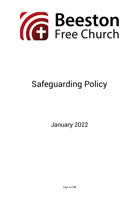

# Safeguarding Policy

January 2022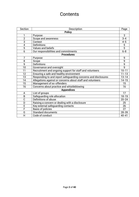## **Contents**

| Section        | Description                                                    | Page           |  |
|----------------|----------------------------------------------------------------|----------------|--|
| <b>Policy</b>  |                                                                |                |  |
| 1              | Purpose                                                        | 3              |  |
| $\overline{2}$ | Scope and awareness                                            | $3 - 4$        |  |
| 3              | Context                                                        | $4 - 5$        |  |
| $\overline{4}$ | <b>Definitions</b>                                             | 5              |  |
| 5              | Values and beliefs                                             | $\overline{5}$ |  |
| 6              | Our responsibilities and commitments                           | $6 - 8$        |  |
|                | <b>Procedures</b>                                              |                |  |
| $\overline{7}$ | Purpose                                                        | 9              |  |
| 8              | Scope                                                          | 9              |  |
| 9              | <b>Definitions</b>                                             | 9              |  |
| 10             | Governance and oversight                                       | 9              |  |
| 11             | Recruitment and ongoing support for staff and volunteers       | $10 - 11$      |  |
| 12             | Ensuring a safe and healthy environment                        | $11 - 13$      |  |
| 13             | Responding to and report safeguarding concerns and disclosures | $13 - 14$      |  |
| 14             | Allegations against or concerns about staff and volunteers     | $14 - 15$      |  |
| 15             | Management of ex-offenders                                     | 15             |  |
| 16             | Concerns about practice and whistleblowing                     | 16             |  |
|                | <b>Appendices</b>                                              |                |  |
| A              | List of groups                                                 | 17             |  |
| B              | Safeguarding role allocation                                   | $18 - 19$      |  |
| $\mathbf C$    | Definitions of abuse                                           | $20 - 24$      |  |
| D              | Raising a concern or dealing with a disclosure                 | 25             |  |
| E              | Key external safeguarding contacts                             | 26             |  |
| F              | <b>Basis of policies</b>                                       | 27             |  |
| G              | <b>Standard documents</b>                                      | $28 - 39$      |  |
| $\overline{H}$ | Code of conduct                                                | $40 - 41$      |  |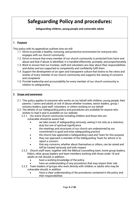# **Safeguarding Policy and procedures:**

**Safeguarding children, young people and vulnerable adults**

#### **1. Purpose**

This policy with its appendices outlines how we will:

- 1.1. Strive to provide a healthy, nurturing, and protective environment for everyone who engages with our church community
- 1.2. Strive to ensure that every member of our church community is protected from harm and abuse and that if abuse is identified, it is handled effectively, promptly, and proportionately
- 1.3. Work to ensure that our trustees, staff and volunteers are clear about their responsibilities and duties and are supported to competently and confidently fulfil them
- 1.4. Support the development of an open and transparent culture that listens to the views and wishes of every member of our church community and supports the raising of concerns and complaints
- 1.5. Provide leadership and accountability for every member of our church community in relation to safeguarding

#### **2. Scope and awareness**

- 2.1. This policy applies to everyone who works on our behalf with children, young people, their parents / carers and adults at risk of abuse whether trustees, senior leaders, group / ministry leaders, paid staff, volunteers, or others working on our behalf
- 2.2. The details of our Safeguarding policy and procedures are available for anyone who wishes to read it and is available on our website.
	- 2.2.1. Our entire Church community including children and those who are vulnerable should be aware that
		- we take issues of safeguarding seriously, seeing it not only as a statutory duty but one of spiritual significance
		- the meetings and structures of our church are underpinned by our commitment to good and wise safeguarding practice
		- the church has appointed a Safeguarding Lead and Team for this purpose
		- they can approach a member of the Safeguarding Team for advice or to report a concern
		- that any concerns, whether about themselves or others, can be raised and will be treated seriously and with respect
	- 2.2.2. Church staff team, together with the Biblical counselling team, home group leaders, Elders, other group leaders and team members working with those under 18 and adults at risk should, in addition,
		- have a working knowledge of the policy
		- have an understanding of any procedures that may impact their role
	- 2.2.3. Team leaders of groups who work directly with children or adults who may be vulnerable should, in addition
		- Have a clear understanding of the procedures contained in the policy and their responsibilities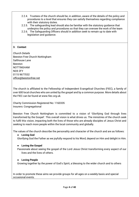- 2.2.4. Trustees of the church should be, in addition, aware of the details of the policy and procedures to a level that ensures they can satisfy themselves regarding compliance with their statutory duties.
- 2.2.5. The safeguarding lead should also be familiar with the statutory guidance that underpins the policy and procedures so that they can oversee the work of the team
- 2.2.6. The Safeguarding Officers should in addition seek to remain up to date with legislation and guidance.

#### **3. Context**

*Church Details* Beeston Free Church Nottingham Salthouse Lane Beeston NOTTINGHAM NG9 2FY 0115 9677032 [office@beestonfree.net](mailto:office@beestonfree.net)

The church is affiliated to the Fellowship of Independent Evangelical Churches (FIEC), a family of over 600 local churches who are united by the gospel and by a common purpose. More details about the FIEC can be found at www.fiec.org.uk.

Charity Commission Registered No: 1160335 Insurers: Congregational

Beeston Free Church Nottingham is committed to a vision of 'Glorifying God through lives transformed by the Gospel'. This overall vision is what drives us. The ministries of the church seek to fulfil this vision, impacting both the lives of those who are already disciples of Jesus Christ and seeking to reach more people within the local community and globally.

The values of the church describe the personality and character of the church and are as follows:

● **Loving God**

Glorifying God the Father as we joyfully respond to his Word, depend on Him and delight in Him.

#### ● **Loving the Gospel**

Passionate about seeing the gospel of the Lord Jesus Christ transforming every aspect of our lives and the lives of others.

#### ● **Loving People**

Growing together by the power of God's Spirit, a blessing to the wider church and to others

In order to promote these aims we provide groups for all ages on a weekly basis and special occasional events.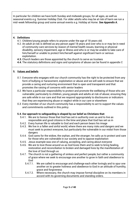In particular for children we have both Sunday and midweek groups, for all ages, as well as seasonal events e.g. Summer Holiday Club. For older adults who may be at risk of harm we run a mid-week fellowship group and some annual events e.g. Holiday at Home. *See Appendix A.*

#### **4. Definitions**

- 4.1. Children/young people refers to anyone under the age of 18 years old.
- 4.2. An adult at risk is defined as any person aged 18 years and over who is or may be in need of community care services by reason of mental health issues, learning or physical disability, sensory impairment, age or illness and who is or may be unable to take care of him/herself or unable to protect him/herself against significant harm or serious exploitation.
- **4.3.** Church leaders are those appointed by the church to serve as trustees
- **4.4.** The statutory definitions and signs and symptoms of abuse can be found in appendix C

#### **5. Values and beliefs**

- *5.1.* Everyone who engages with our church community has the right to be protected from any form of bullying or harassment, exploitation or abuse and we will seek to ensure that we provide a caring and nurturing environment that is open and transparent and that promotes the raising of concerns with senior leaders
- *5.2.* We have a particular responsibility to protect and promote the wellbeing of those who are vulnerable; particularly to children, young people and adults at risk of abuse; ensuring they are safe while in our care and that we respond appropriately to disclosures or indicators that they are experiencing abuse or neglect while in our care or elsewhere
- *5.3.* Every member of our church community has a responsibility to act to support the values and commitments outlined in this policy

#### **5.4. Our approach to safeguarding is shaped by our belief as Christians that:**

- 5.4.1. We are to honour those that God has set in authority over us and to live as responsible and good citizens in the time and place that God has set us in
- 5.4.2. Every human life is valuable to God and each person bears his image
- 5.4.3. We live in a fallen and sinful world, where there are many risks and dangers and we must seek to protect everyone, but particularly the vulnerable in our midst from those dangers
- 5.4.4. God cares for the widow, the orphan, and the stranger; he calls us to protect and care for those who are vulnerable in our society and to oppose exploitation
- 5.4.5. Jesus example was one of valuing, accepting, and caring about everyone
- 5.4.6. We are to love those around us as God loves them and to seek to bring healing, restoration and reconciliation to broken and damaged lives by the manifestation of the love of God through us
- 5.4.7. The church is not a gathering of sinless and perfect people, but rather a community of grace where we seek to encourage one another to grow in faith and obedience to God
	- 5.4.7.1. We are called to encourage and challenge each other lovingly and to spur one another on to greater holiness and obedience to God in an attitude of humility, grace and forgiveness
	- 5.4.7.2. Where necessary, the church may impose formal discipline on its members in accord with its governing documents and standing orders.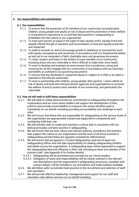#### **6. Our responsibilities and commitments**

#### **6.1. Our responsibilities**

- 6.1.1. To ensure that the protection of all members of our community, but particularly children, young people and adults at risk of abuse and the promotion of their welfare is of paramount importance to us and that best practice in safeguarding is embedded into the culture or our organisation
- 6.1.2. To treat each person as equal in the sight of God; equally sinful, equally loved and equally offered the gift of salvation and reconciliation to God and equally protected and respected
- 6.1.3. To seek to minister to, and to encourage growth in obedience to God and his word with equity, transparency and sensitivity, in accordance with our fundamental beliefs as laid out in our statement of faith, charitable aims and governing documents
- 6.1.4. To value, respect and listen to the wishes of every member of our community, including those who are vulnerable or find it difficult to make their voice heard
- 6.1.5. To work to develop and maintain an environment that is protective, caring and nurturing for all who engage with our community, in accordance with our doctrines and beliefs as outlined in our governing documents
- 6.1.6. To ensure that any disclosed or suspected abuse or neglect of a child or an adult is reported to the relevant authorities
- 6.1.7. To work in partnership with children, young people, their parents / carers adults at risk of abuse and local and national partner agencies and organisations to promote the welfare of and to protect each member of our community, and particularly the vulnerable

#### **6.2. How we will seek to fulfil these responsibilities**

- 6.2.1. We will seek to visibly demonstrate our commitment to safeguarding throughout the organisation and our most senior leaders will support the development of best practice and provide accountability to everyone who works (whether paid or voluntarily) on our behalf; including providing accountability and challenge to each other
- 6.2.2. We will ensure that those who are responsible for safeguarding at the various levels of the organisation are appropriately trained and supported to competently and confidently fulfil their role
- 6.2.3. We will actively seek to create and maintain a culture that is consistent with our biblical principles and best practice in safeguarding
- 6.2.4. We will ensure that we have robust and relevant policies, procedures and systems that support the culture or our organisation and the work of all those involved in safeguarding and that these are regularly reviewed for effectiveness
- 6.2.5. We will ensure that we appoint a Trustee Safeguarding Lead and at least one Safeguarding Officer who will take responsibility for leading safeguarding children and adults across the organisation. A safeguarding team will be appointed to support the safeguarding lead and officer(s) in their role, including at least one member of the ministry staff. (see Appendix B for further details)
	- 6.2.5.1. Safeguarding will be promoted and overseen by our church leaders
	- 6.2.5.2. Delegation of tasks and responsibilities will be clearly outlined in the relevant role descriptions and the organisation's safeguarding structures, complete with contact details, will be included in our procedures and made publicly available
- 6.2.6. We will follow safer recruitment best practice in the recruitment and selection of staff and volunteers
- 6.2.7. We will provide effective leadership, management and support for our staff and volunteers who deliver services on our behalf including: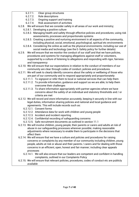- 6.2.7.1. Clear group structures
- 6.2.7.2. Role descriptions
- 6.2.7.3. Ongoing support and training
- 6.2.7.4. Risk assessment of activities
- 6.2.8. We will ensure that we consider safety in all areas of our work and ministry;
	- 6.2.8.1. Developing a positive culture
	- 6.2.8.2. Managing health and safety through effective policies and procedures; using risk assessments, processes and proportionate systems
	- 6.2.8.3. Creating a positive and nurturing environment in all aspects of the community, including physical, social, emotional, psychological, spiritual etc environments
	- 6.2.8.4. Considering the online as well as the physical environments; including our use of social media and technology (see the E-Safety policy for further details)
- 6.2.9. We will ensure that we monitor the conduct of our staff and that we have policies, procedures and systems for managing allegations against staff or volunteers, supported by a culture of listening to allegations and responding with rigor, fairness and transparency
- 6.2.10. We will ensure that our expectations in relation to the conduct of members of our community are clear through codes of conduct, policies and procedures.
- 6.2.11. We will seek to clearly identify concerns about the safety or wellbeing of those who are part of our community and to respond appropriately and proportionately:
	- 6.2.11.1. To signpost or refer them to local or national services that can help them
	- 6.2.11.2. To provide information, guidance and support as we are able, to help them overcome their challenges
	- 6.2.11.3. To share information appropriately with partner agencies where we have concerns about the safety of an individual and statutory thresholds and / or criteria are met
- 6.2.12. We will record and store information accurately, keeping it securely in line with our legal duties, information sharing policies and national and local guidance and agreements. This will include records such as:
	- 6.2.12.1. Consent forms
	- 6.2.12.2. Attendance data for work with children and young people
	- 6.2.12.3. Accident and incident reporting
	- 6.2.12.4. Confidential recording of safeguarding concerns
	- 6.2.12.5. Safe recruitment documents as outlined in section 11.1
- 6.2.13. We will involve children, young people, their parents or carers and adults at risk of abuse in our safeguarding processes wherever possible; making reasonable adjustments where necessary to enable them to participate in the decisions that affect them
- 6.2.14. We will ensure that we have a culture and policies and procedures for raising concerns or complaints by any member of our community including children, young people, adults at risk or abuse and their parents / carers and for dealing with those concerns in an efficient, open, honest and fair manner; including clear appeals processes
	- 6.2.14.1. We will also ensure that our leaders are competent and confident in handling complaints, outlined in our Complaints Policy
- 6.2.15. We will ensure that relevant policies, procedures, codes of conduct etc are publicly available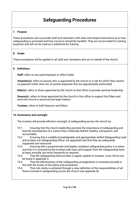# **Safeguarding Procedures**

#### **7. Purpose**

These procedures aim to provide staff and volunteers with clear and simple instructions as to how safeguarding is promoted and how concerns should be handled. They are not provided for training purposes and will not be used as a substitute for training.

#### **8. Scope**

These procedures will be applied to all staff and volunteers who act on behalf of the church.

#### **9. Definitions**

**Staff:** refers to any paid employee or office holder

**Volunteer(s):** refers to anyone who is appointed by the church to a role for which they receive no payment (other than out-of-pocket expenses that are appropriately authorised)

**Elder(s):** refers to those appointed by the church to that office to provide spiritual leadership

**Deacon(s**): refers to those appointed by the church to that office to support the Elders and serve the church in practical and legal matters

**Trustees**: refers to both Deacons and Elders.

#### **10. Governance and oversight**

The trustees will provide effective oversight of safeguarding across the church by:

- 10.1. Ensuring that the church leadership promote the importance of safeguarding and lead the development of a culture that is biblically faithful, healthy, transparent, and accountable
- 10.2. Ensuring that a suitably knowledgeable and appropriately skilled Safeguarding Lead and at least one Safeguarding Officer are appointed and that they are adequately supported and resourced
- 10.3. Ensuring that a proportionate and legally compliant safeguarding policy is in place and that it is reviewed by the trustees with input and support from the safeguarding team at least annually, but more frequently as required
- 10.4. That the safeguarding lead provides a regular update to trustees. A pro-forma can be found in appendix G
- 10.5. That the effectiveness of the safeguarding arrangements is reviewed annually in line with the review of the policy and procedures
- 10.6. That role clarity is achieved through a clear definition of the responsibilities of all those involved in safeguarding across the church (see appendix B)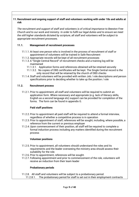#### **11. Recruitment and ongoing support of staff and volunteers working with under 18s and adults at risk**

*The recruitment and support of staff and volunteers is of critical importance to Beeston Free Church and to our work and ministry. In order to fulfil our legal duties and to ensure we meet the still higher standards dictated by scripture, all staff and volunteers will be subject to appropriate recruitment processes.*

#### **11.1. Management of recruitment processes**

- 11.1.1. At least one person who is involved in the process of recruitment of staff or appointment of volunteers will be trained in Safe Recruitment
- 11.1.2. Appropriate records will be kept of all recruitment processes
- 11.1.3. A "Single Central Record" of recruitment checks and a training log will be maintained
	- 11.1.3.1. Application forms and references obtained will be retained securely
	- 11.1.3.2. No copies of DBS certificates will be kept. The Single Central record is the only record that will be retained by the church of DBS checks
- 11.1.4. Staff and volunteers will be provided with written Job / role descriptions and person specifications prior to deciding whether to take up the position / role

#### **11.2. Recruitment process**

11.2.1.Prior to appointment, all staff and volunteers will be required to submit an application form. Where necessary and appropriate (e.g. lack of literacy skills, English as a second language etc) support can be provided for completion of the forms. The form can be found in appendix G.

#### **Paid staff positions**

- 11.2.2.Prior to appointment all paid staff will be required to attend a formal interview, regardless of whether a competitive process is in operation
- 11.2.3.Prior to appointment of staff, references will be sought, including, where possible, a reference from the current or previous employer
- 11.2.4.Upon commencement of their position, all staff will be required to complete a formal induction process including any matters identified during the recruitment process

#### **Volunteer positions**

- 11.2.5.Prior to appointment, all volunteers should understand the roles and its requirements and the leader overseeing the ministry area should assess their suitability for the role.
- 11.2.6.Prior to appointment, references will be sought.
- 11.2.7. Following appointment and prior to commencement of the role, volunteers will receive an induction from their team leader

#### **Probationary periods**

11.2.8. All staff and volunteers will be subject to a probationary period.

11.2.8.1. The probationary period for staff is set out in their employment contracts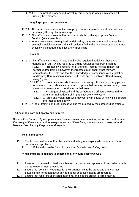11.2.8.2. The probationary period for volunteers serving in weekly ministries will usually be 3 months

#### **Ongoing support and supervision**

- 11.2.9. All staff and volunteers will receive proportionate supervision and pastoral care, particularly through team meetings.
- 11.2.10. All staff and volunteers will be required to abide by the appropriate Code of Conduct (see appendix H)
- 11.2.11. Where DBS checks are required, as defined by the government and advised by our external specialist advisors, this will be identified in the role description and these checks will be updated at least every three years

#### **Training**

- 11.2.12. All staff and volunteers in roles that involve regulated activity or those who manage such staff will be required to attend regular safeguarding training
	- 11.2.12.1. Trustees will receive initial training. There is no requirement for formal update training, however, the trustees must ensure that they are competent in their role and that their knowledge of compliance with legislation and Charity Commission guidance up to date and as such are offered training every 2 years.
	- 11.2.12.2. Volunteers and staff involved in working with children, young people or adults at risk of abuse are required to update their training at least every three years as a prerequisite of continuing in their role
	- 11.2.12.3. The Safeguarding Lead and the safeguarding officers are required to attend formal update training at least every two years
	- 11.2.12.4. All staff and volunteers who may work with adults at risk will be offered informal update activity
- 11.2.13. A log of training and DBS checks will be maintained by the safeguarding officers.

#### **12. Ensuring a safe and healthy environment**

*Beeston Free Church fully recognises that there are many factors that impact on and contribute to the safety of the environment for everyone; some of these being procedural and others cultural. Here we describe only the procedural aspects.*

#### **Health and Safety**

- 12.1. The trustees will ensure that the health and safety of everyone who enters our church community is protected<br>12.1.1. Full details can b
	- Full details can be found in the church's Health and Safety policy

#### **When engaging in ministry to children and / or young people we will:**

- 12.2. Ensuring that those involved in such ministries have been appointed in accordance with our Safe Recruitment procedures
- 12.3. Ensure that consent is obtained for their attendance at the group and that contact details and information about any additional or specific needs are recorded
- 12.4. Ensure that registers of children attending, and leaders present are maintained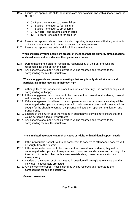- 12.5. Ensure that appropriate child: adult ratios are maintained in line with guidance from the NSPCC:
	- $\checkmark$  0 2 years one adult to three children
	- $\checkmark$  2 3 years one adult to four children
	- $\checkmark$  4 8 years one adult to six children
	- $\checkmark$  9 12 years one adult to eight children
	- $\checkmark$  13 18 years one adult to ten children
- 12.6. Ensure that appropriate accident / incident reporting is in place and that any accidents or incidents are reported to parents / carers in a timely manner
- 12.7. Ensure that appropriate order and discipline are maintained

#### **When children or young people are present at meetings that are primarily aimed at adults and childcare is not provided and their parents are present**

- 12.8. During these times, children remain the responsibility of their parents who are responsible for their safety and care
- 12.9. Any concerns or support needs identified will be recorded and reported to the safeguarding team in the usual way

#### **When young people are present at meetings that are primarily aimed at adults and participating in that meeting in their own right**

- 12.10. Although there are not specific procedures for such meetings, the normal principles of safeguarding will apply
- 12.11. If the young person is not believed to be competent to consent to attendance, consent will be sought from their parents / carers
- 12.12. If the young person is believed to be competent to consent to attendance, they will be encouraged to be open and transparent with their parents / carers and consent will be sought for the church to contact the parents and establish open communication and transparency
- 12.13. Leaders of the church or of the meeting in question will be vigilant to ensure that the young person is adequately protected
- 12.14. Any concerns or support needs identified will be recorded and reported to the safeguarding team in the usual way

#### **When ministering to Adults at Risk of Abuse or Adults with additional support needs**

- 12.15. If the individual is not believed to be competent to consent to attendance, consent will be sought from their carers
- 12.16. If the individual is believed to be competent to consent to attendance, they will be encouraged to be open and transparent with their carers and consent will be sought for the church to contact them with a view to establishing open communication and transparency
- 12.17. Leaders of the church or of the meeting in question will be vigilant to ensure that the individual is adequately protected
- 12.18. Any concerns or support needs identified will be recorded and reported to the safeguarding team in the usual way

#### **General provisions**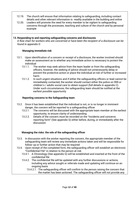- 12.19. The church will ensure that information relating to safeguarding, including contact details and other relevant information is readily available in the building and online
- 12.20. Leaders will promote the need for every member to be vigilant to safeguarding concerns through the processes, teaching and culture of the church and by personal example

#### **13. Responding to and reporting safeguarding concerns and disclosures**

*A flow chart for workers who are concerned or have been the recipient of a disclosure can be found in appendix D*

#### **Managing immediate risk**

- 13.1. Upon identification of a concern or receipt of a disclosure, the worker involved should make an assessment as to whether any immediate action is necessary to protect the individual
	- 13.1.1. The worker may seek advice from the team leader or from the safeguarding officers, however, the seeking of advice should not unnecessarily delay or prevent the protective action or place the individual at risk of further or increased harm
	- 13.1.2. In such urgent situations and if either the safeguarding officers or lead cannot be immediately contacted, the worker should contact either the police on 999 or children's / adults social care to obtain support (full details in appendix C). Under such circumstances, the safeguarding team should be notified at the earliest possible opportunity

#### **Reporting concerns to the Safeguarding team**

- 13.2. Once it has been established that the individual is not, or is no longer in imminent danger, the concern will be reported to a safeguarding officer
	- 13.2.1. The concerns will be discussed with the appropriate team member at the earliest opportunity, to ensure clarity of understanding
	- 13.2.2. Details of the concern must be recorded on the "Incidents and concerns reporting form" (See appendix G) either before, during, or immediately after the discussion

#### **Managing the risks: the role of the safeguarding officer**

- 13.3. In discussion with the worker reporting the concern, the appropriate member of the safeguarding team will review any immediate actions taken and will be responsible for follow-up or further action that may be required
- 13.4. Upon receipt of the completed form, the safeguarding officer will establish an electronic "Confidential File" in relation to the person at risk
	- 13.4.1. A Chronology (See appendix G) will be established and inserted at the front of the confidential file
	- 13.4.2. The confidential file will be updated with any further discussions or actions, including any advice sought or referrals made and updating will continue on an ongoing basis
		- 13.4.2.1. The safeguarding officer will confirm to the person raising the concern that the matter has been actioned. The safeguarding officer will not provide any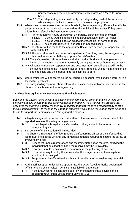unnecessary information. Information is only shared on a "need to know" basis

- 13.4.2.2. The safeguarding officer will notify the safeguarding lead of the situation whose responsibility it is to report to trustees as appropriate
- 13.5. Where the concern meets the statutory threshold, the safeguarding officer will notify the parent or carer of the individual concerned (or the individual themselves if they are an adult) that a referral is being made to Social Care
	- 13.5.1. Information will not be shared with the parent / carer in situations where:
		- 13.5.1.1. To do so would place a child at increased risk of harm or neglect
		- 13.5.1.2. To do so would place an adult at increased risk of harm or abuse
		- 13.5.1.3. The concern relates to Fabricated or Induced Illness
	- 13.5.2. The referral will be made to the appropriate Social Care service (See appendix F for contact details)
	- 13.5.3. If the referral has not been acknowledged within 3 working days, the safeguarding officer will follow up with the appropriate Social Care team
	- 13.5.4. The safeguarding officer will work with the Local Authority and other partners on behalf of the church to ensure that we fully participate in the safeguarding process
	- 13.5.5. All conversations, correspondence, and documentation etc will be placed into the confidential file and the "Record of action" and Chronology will be maintained on an ongoing basis and the safeguarding lead kept up to date.
- 13.6. Confidential files will be stored on the safeguarding account (email and file store) or in a locked filing cabinet
- 13.7. The safeguarding team will share information as necessary with other individuals in the church to facilitate effective safeguarding

#### **14. Allegations against or concerns about staff and volunteers**

*Beeston Free Church takes allegations against or concerns about our staff and volunteers very seriously and will ensure that they are investigated thoroughly, via a transparent process that expedites the matter in a timely manner. We recognise that that we have a responsibility to take the allegation seriously, to manage the situation effectively while the investigation takes place and to and to support the person accused throughout the process.*

- 14.1. Allegations against or concerns about staff or volunteers within the church should be reported to one of the safeguarding officers
	- 14.1.1. If the allegation is against a safeguarding officer, it should be reported to the safeguarding lead
- 14.2. Full details of the allegation will be recorded
- 14.3. The church's investigating officer (usually a safeguarding officer or the safeguarding lead) must first assess whether any immediate action is required to ensure the safety of everyone involved
	- 14.3.1. Dependent upon circumstances and the immediate action required, notifying the individual that an allegation has been received may be unavoidable
	- 14.3.2. If so, care should be taken not to compromise the gathering of evidence.
	- 14.3.3. If it is necessary to notify the individual at this stage, details of the allegation should not be divulged
	- 14.3.4. Support must be offered to the subject of the allegation as well as any potential victims
- 14.4. At the earliest opportunity, where appropriate, the LADO (Local Authority Designated Officer) should be consulted. Details are available in appendix F
	- 14.4.1. If the LADO cannot be contacted due to working hours, initial advice can be sought from Christian Safeguarding Services (CSS)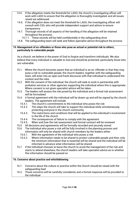- 14.5. If the allegation meets the threshold for LADO, the church's investigating officer will work with LADO to ensure that the allegation is thoroughly investigated, and all issues raised are addressed
- 14.6. If the allegation does not meet the threshold for LADO, the investigating officer will consult with CSS, who will provide independent support and advice to ensure transparency
- 14.7. Thorough records of all aspects of the handling of the allegation will be retained throughout the process.
	- 14.7.1. These records will be held confidentially in the safeguarding drive
- 14.8. The safeguarding team will seek and follow specialist advice throughout the process

#### **15. Management of ex-offenders or those who pose an actual or potential risk to others; particularly to vulnerable people**

As a church, we believe in the power of God to forgive and transform individuals. We also believe that every individual is valuable to God and should be protected; particularly those who are vulnerable.

- 15.1. Where the church becomes aware that an individual is an ex-offender or that they may pose a risk to vulnerable people, the church leaders, together with the safeguarding team, will enter into an open and frank discourse with that individual to understand the context and the risks
- 15.2. With the consent of the individual, the church will seek to work in partnership with probation services or other agencies supporting the individual where this is appropriate. Where consent is not given specialist advice will be taken.
- 15.3. The leaders will assess the risk posed by the individual and a formal risk assessment will be formulated
- 15.4. A formal agreement with the individual will be drawn up and will be signed by the church leaders. The agreement will include:
	- 15.4.1. The church's commitments to the individual who poses the risk
	- 15.4.2. The steps the church will take to support the individual while simultaneously protecting everyone in the church community
	- 15.4.3. The restrictions and conditions that will be applied to the individual's involvement in the life of the church
	- 15.4.4. The consequences of failure to comply with the agreement
	- 15.4.5. When and how the risk assessment and formal contract will be reviewed
- 15.5. All decisions and agreements will be formally recorded and securely stored
- 15.6. The individual who poses a risk will be fully involved in the planning process and information will only be shared with church members by the leaders either:
	- 15.6.1. With the agreement of the individual who poses a risk
	- 15.6.2. Where information needs to be shared to protect vulnerable people and then, only the minimum information that is essential will be shared and the individual will be informed in advance what information will be shared
- 15.7. If the individual chooses to leave the church to avoid the management of the risk and starts to attend elsewhere, the church leaders will take specialist advice as to whether this information should be passed on

#### **16. Concerns about practice and whistleblowing**

- 16.1. Concerns about the culture or practice within the church should be raised with the safeguarding lead
- 16.2. Those concerns will be carefully considered, and a formal response will be provided to the individual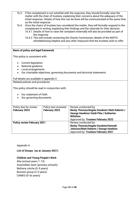| 16.3. If the complainant is not satisfied with the response, they should formally raise the |
|---------------------------------------------------------------------------------------------|
| matter with the chair of trustees, explaining their concerns about the adequacy of the      |
| initial response. Details of how this can be done will be communicated at the same time     |
| as the initial response                                                                     |

- 16.4. Once the chairs of trustees has considered the matter, they will formally respond to the complainant in writing, explaining their findings and the rationale for their decision 16.4.1.Details of how to raise the complaint externally will also be provided as part of the response
	- 16.4.2. This will include contacting the Charity Commission, details of the NSPCC whistleblowing helpline and any other measures that the trustees wish to offer

#### **Basis of policy and legal framework**

This policy is consistent with:

- Current legislation
- National guidance
- Local arrangements
- Our charitable objectives, governing documents and doctrinal statements

#### Full details are available in appendix E

Related policies and procedures

This policy should be read in conjunction with:

- Our statement of Faith
- Our governing documents

| Policy due for review:             | <b>Policy last reviewed</b> | Review conducted by:                               |
|------------------------------------|-----------------------------|----------------------------------------------------|
| February 2023                      | February 2022               | <b>Becky Thomas/Angela Goodwin/ Matt Roberts /</b> |
|                                    |                             | <b>George Hawkins/ Heidi Pike / Katherine</b>      |
|                                    |                             | Wiltshire                                          |
|                                    |                             | Approved by: Trustees February 2022                |
| <b>Policy review February 2021</b> |                             | Review conducted by:                               |
|                                    |                             | <b>Becky Thomas/Angela Goodwin/Hannah</b>          |
|                                    |                             | <b>Johnson/Matt Roberts / George Hawkins</b>       |
|                                    |                             | Approved by: Trustees February 2021                |

Appendix A

*List of Groups* **(as at January 2021)**

#### **Children and Young People's Work**

Alta (school years 7-13) Assemblies team (primary schools) Bethany crèche (0-5 years) Bunnies group (3-5 years) CAMEO (0-5s years)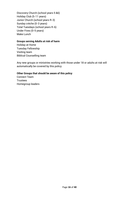Discovery Church (school years 5 &6) Holiday Club (5-11 years) Junior Church (school years R-3) Sunday crèche (0-3 years) Total Tuesdays (school years R-6) Under Fives (0-5 years) Make Lunch

#### **Groups serving Adults at risk of harm**

Holiday at Home Tuesday Fellowship Visiting team Biblical Counselling team

Any new groups or ministries working with those under 18 or adults at risk will automatically be covered by this policy.

#### **Other Groups that should be aware of this policy**

Connect Team **Trustees** Homegroup leaders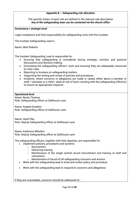#### **Appendix B – Safeguarding role allocation**

*The specific duties of each role are defined in the relevant role description Any of the safeguarding team can be contacted via the church office*

#### **Governance / strategic level**

Legal compliance and final responsibility for safeguarding rests with the trustees.

The trustees Safeguarding Lead is:

Name: Matt Roberts

The trustees Safeguarding Lead is responsible for:

- Ensuring that safeguarding is considered during strategic, ministry and pastoral discussions and decision making
- Overseeing the safeguarding officers' work and ensuring they are adequately resourced for their roles
- Reporting to trustees on safeguarding matters
- Supporting the writing and review of policies and procedures
- Incidents: where concerns or allegations are made or raised, either about a member of staff / volunteer or a child / adult at risk of harm, working with the safeguarding officer(s) to ensure an appropriate response

#### **Operational level**

Name: Becky Thomas Role: Safeguarding officer at Salthouse Lane

Name: Angela Goodwin Role: Safeguarding officer at Salthouse Lane

Name: Heidi Pike Role: Deputy Safeguarding officer at Salthouse Lane

Name: Katherine Wiltshire Role: Deputy Safeguarding officer at Salthouse Lane

The safeguarding officers, together with their deputies, are responsible for:

- Implement policies, procedures and systems
	- o Recruitment
	- o Delivering training
	- o Maintenance of the single central record (recruitment and training of staff and volunteers)
	- o Maintenance of record of all safeguarding concerns and actions
- Work with the safeguarding lead to write and review policy and procedure
- Work with the safeguarding lead to respond to concerns and allegations

If they are unavailable, concerns should be addressed to :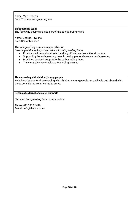Name: Matt Roberts Role: Trustees safeguarding lead

#### **Safeguarding team**

The following people are also part of the safeguarding team:

Name: George Hawkins Role: Senior Minister

The safeguarding team are responsible for *Providing additional input and advice to safeguarding team*

- Provide wisdom and advice is handling difficult and sensitive situations
- Supporting the safeguarding team in linking pastoral care and safeguarding
- Providing pastoral support to the safeguarding team
- They may also assist with safeguarding training

**Those serving with children/young people** Role descriptions for those serving with children / young people are available and shared with those considering volunteering to serve.

#### **Details of external specialist support:**

Christian Safeguarding Services advice line

Phone: 0116 218 4420 E-mail: info@thecss.co.uk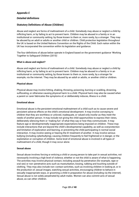#### *Appendix C*

#### *Detailed definitions*

#### **Statutory Definitions of Abuse (Children)**

Abuse and neglect are forms of maltreatment of a child. Somebody may abuse or neglect a child by inflicting harm, or by failing to act to prevent harm. Children may be abused in a family or in an institutional or community setting; by those known to them or, more rarely, by a stranger. They may be abused by an adult or adults or another child or children. Child protection legislation throughout the UK is based on the United Nations Convention on the Rights of the Child. Each nation within the UK has incorporated the convention within its legislation and guidance.

The four definitions of abuse below operate in England based on the government guidance 'Working Together to Safeguard Children (2015)'.

#### **What is abuse and neglect?**

Abuse and neglect are forms of maltreatment of a child. Somebody may abuse or neglect a child by inflicting harm, or by failing to act to prevent harm. Children may be abused in a family or in an institutional or community setting, by those known to them or, more rarely, by a stranger for example, via the internet. They may be abused by an adult or adults, or another child or children.

#### **Physical abuse**

Physical abuse may involve hitting, shaking, throwing, poisoning, burning or scalding, drowning, suffocating, or otherwise causing physical harm to a child. Physical harm may also be caused when a parent or carer fabricates the symptoms of, or deliberately induces, illness in a child.

#### **Emotional abuse**

Emotional abuse is the persistent emotional maltreatment of a child such as to cause severe and persistent adverse effects on the child's emotional development. It may involve conveying to children that they are worthless or unloved, inadequate, or valued only insofar as they meet the needs of another person. It may include not giving the child opportunities to express their views, deliberately silencing them or 'making fun' of what they say or how they communicate. It may feature age or developmentally inappropriate expectations being imposed on children. These may include interactions that are beyond the child's developmental capability, as well as overprotection and limitation of exploration and learning, or preventing the child participating in normal social interaction. It may involve seeing or hearing the ill-treatment of another. It may involve serious bullying (including cyberbullying), causing children frequently to feel frightened or in danger, or the exploitation or corruption of children. Some level of emotional abuse is involved in all types of maltreatment of a child, though it may occur alone.

#### **Sexual abuse**

Sexual abuse involves forcing or enticing a child or young person to take part in sexual activities, not necessarily involving a high level of violence, whether or not the child is aware of what is happening. The activities may involve physical contact, including assault by penetration (for example, rape or oral sex) or non-penetrative acts such as masturbation, kissing, rubbing and touching outside of clothing. They may also include non-contact activities, such as involving children in looking at, or in the production of, sexual images, watching sexual activities, encouraging children to behave in sexually inappropriate ways, or grooming a child in preparation for abuse (including via the internet). Sexual abuse is not solely perpetrated by adult males. Women can also commit acts of sexual abuse, as can other children.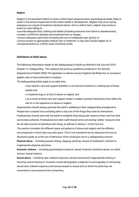#### **Neglect**

Neglect is the persistent failure to meet a child's basic physical and/or psychological needs, likely to result in the serious impairment of the child's health or development. Neglect may occur during pregnancy as a result of maternal substance abuse. Once a child is born, neglect may involve a parent or carer failing to:

provide adequate food, clothing and shelter (including exclusion from home or abandonment);

- protect a child from physical and emotional harm or danger;
- ensure adequate supervision (including the use of inadequate care-givers); or

 ensure access to appropriate medical care or treatment. It may also include neglect of, or unresponsiveness to, a child's basic emotional needs.

#### **Definitions of Adult abuse**

The following information relates to the Safeguarding of Adults as defined in the Care Act 2014, Chapter 14. Safeguarding. This replaces the previous guidelines produced in 'No Secrets' (Department of Health 2000) The legislation is relevant across England and Wales but on occasions applies only to local authorities in England.

The Safeguarding duties apply to an adult who;

- has need for care and support (whether or not the local authority is meeting any of those needs) and;
- is experiencing, or at risk of, abuse or neglect; and
- as a result of those care and support needs is unable to protect themselves from either the risk of, or the experience of abuse or neglect.

Organisations should always promote the adult's wellbeing in their safeguarding arrangements. People have complex lives and being safe is only one of the things they want for themselves. Professionals should work with the adult to establish what being safe means to them and how that can be best achieved. Professional and other staff should not be advocating 'safety' measures that do not take account of individual well-being, as defined in Section 1 of the Care Act. This section considers the different types and patterns of abuse and neglect and the different

circumstances in which they may take place. This is not intended to be an exhaustive list but an illustrative guide as to the sort of behaviour which could give rise to a safeguarding concern. **Physical abuse** – including assault, hitting, slapping, pushing, misuse of medication, restraint or inappropriate physical sanctions.

**Domestic violence** – including psychological, physical, sexual, financial, emotional abuse; so called 'honour' based violence.

**Sexual abuse** – including rape, indecent exposure, sexual harassment, inappropriate looking or touching, sexual teasing or innuendo, sexual photography, subjection to pornography or witnessing sexual acts, indecent exposure and sexual assault or sexual acts to which the adult has not consented or was pressured into consenting.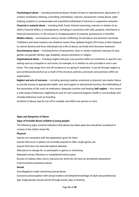**Psychological abuse** – including emotional abuse, threats of harm or abandonment, deprivation of contact, humiliation, blaming, controlling, intimidation, coercion, harassment, verbal abuse, cyber bullying, isolation or unreasonable and unjustified withdrawal of services or supportive networks. **Financial or material abuse** – including theft, fraud, internet scamming, coercion in relation to an adult's financial affairs or arrangements, including in connection with wills, property, inheritance or financial transactions, or the misuse or misappropriation of property, possessions or benefits. **Modern slavery** – encompasses slavery, human trafficking, forced labour and domestic servitude.

Traffickers and slave masters use whatever means they Updated August 2016 have at their disposal to coerce, deceive and force individuals into a life of abuse, servitude and inhumane treatment. **Discriminatory abuse** – including forms of harassment, slurs or similar treatment; because of race, gender and gender identity, age, disability, sexual orientation or religion.

**Organisational abuse** – including neglect and poor care practice within an Institution or specific care setting such as a hospital or care home, for example, or in relation to care provided in one's own home. This may range from one off incidents to on-going ill-treatment. It can be through neglect or poor professional practice as a result of the structure, policies, processes and practices within an organisation.

**Neglect and acts of omission** – including ignoring medical, emotional or physical care needs, failure to provide access to appropriate health, care and support or educational services, the withholding of the necessities of life, such as medication, adequate nutrition and heating.**Self-neglect** – this covers a wide range of behaviour neglecting to care for one's personal hygiene, health or surroundings and includes behaviour such as hoarding.

Incidents of abuse may be one-off or multiple, and affect one person or more.

#### *Signs and Symptoms of Abuse*

#### **Signs of Possible Abuse (children & young people)**

The following signs could be indicators that abuse has taken place but should be considered in context of the child's whole life.

#### **Physical**

Injuries not consistent with the explanation given for them Injuries that occur in places not normally exposed to falls, rough games, etc Injuries that have not received medical attention Reluctance to change for, or participate in, games or swimming Repeated urinary infections or unexplained tummy pains Bruises on babies, bites, burns, fractures etc which do not have an accidental explanation\* Cuts/scratches/substance abuse **Sexual** Any allegations made concerning sexual abuse Excessive preoccupation with sexual matters and detailed knowledge of adult sexual behaviour Age-inappropriate sexual activity through words, play or drawing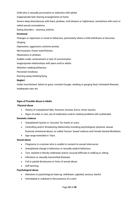Child who is sexually provocative or seductive with adults Inappropriate bed-sharing arrangements at home Severe sleep disturbances with fears, phobias, vivid dreams or nightmares, sometimes with overt or veiled sexual connotations Eating disorders - anorexia, bulimia **Emotional** Changes or regression in mood or behaviour, particularly where a child withdraws or becomes clinging. Depression, aggression, extreme anxiety. Nervousness, frozen watchfulness Obsessions or phobias Sudden under-achievement or lack of concentration Inappropriate relationships with peers and/or adults Attention-seeking behaviour Persistent tiredness Running away/stealing/lying **Neglect**

Under nourishment, failure to grow, constant hunger, stealing or gorging food, Untreated illnesses, Inadequate care, etc

#### **Signs of Possible Abuse in Adults**

#### **Physical abuse**

- History of unexplained falls, fractures, bruises, burns, minor injuries.
- Signs of under or over use of medication and/or medical problems left unattended.

#### **Domestic violence**

- Unexplained injuries or 'excuses' for marks or scars
- Controlling and/or threatening relationship including psychological, physical, sexual, financial, emotional abuse; so called 'honour' based violence and Female Genital Mutilation.
- Age range extended to 16yrs.

#### **Sexual abuse**

- Pregnancy in a woman who is unable to consent to sexual intercourse
- Unexplained change in behaviour or sexually explicit behaviour
- Torn, stained or bloody underwear and/or unusual difficulty in walking or sitting
- Infections or sexually transmitted diseases
- Full or partial disclosures or hints of sexual abuse
- Self harming

#### **Psychological abuse**

- Alteration in psychological state eg. withdrawn, agitated, anxious, tearful
- Intimidated or subdued in the presence of a carer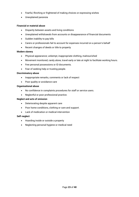- Fearful, flinching or frightened of making choices or expressing wishes
- Unexplained paranoia

#### **Financial or material abuse**

- Disparity between assets and living conditions
- Unexplained withdrawals from accounts or disappearance of financial documents
- Sudden inability to pay bills
- Carers or professionals fail to account for expenses incurred on a person's behalf
- Recent changes of deeds or title to property

#### **Modern slavery**

- Physical appearance; unkempt, inappropriate clothing, malnourished
- Movement monitored, rarely alone, travel early or late at night to facilitate working hours.
- Few personal possessions or ID documents.
- Fear of seeking help or trusting people.

#### **Discriminatory abuse**

- Inappropriate remarks, comments or lack of respect
- Poor quality or avoidance care

#### **Organisational abuse**

- No confidence in complaints procedures for staff or service users.
- Neglectful or poor professional practice.

#### **Neglect and acts of omission**

- Deteriorating despite apparent care
- Poor home conditions, clothing or care and support.
- Lack of medication or medical intervention

#### **Self-neglect**

- Hoarding inside or outside a property
- Neglecting personal hygiene or medical need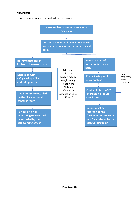#### **Appendix D**

How to raise a concern or deal with a disclosure

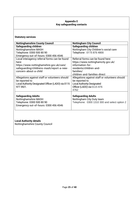#### **Appendix E Key safeguarding contacts**

## **Statutory services**

| <b>Nottinghamshire County Council</b>              | <b>Nottingham City Council</b>                 |
|----------------------------------------------------|------------------------------------------------|
| <b>Safeguarding children</b>                       | <b>Safeguarding children</b>                   |
| <b>Nottinghamshire MASH</b>                        | Nottingham City Children's social care         |
| Telephone: 0300 500 80 90                          | Telephone: 0115 876 4800                       |
| Emergency out-of-hours: 0300 456 4546              |                                                |
| Local interagency referral forms can be found      | Referral forms can be found here:              |
| here:                                              | https://www.nottinghamcity.gov.uk/             |
| https://www.nottinghamshire.gov.uk/care/           | information-for-                               |
| safequarding/childrens-mash/report-a-new-          | residents/children-and-                        |
| concern-about-a-child                              | families/                                      |
|                                                    | children-and-families-direct                   |
| Allegations against staff or volunteers should     | Allegations against staff or volunteers should |
| be reported to                                     | be reported to                                 |
| Local Authority Designated Officer (LADO) via 0115 | <b>Local Authority Designated</b>              |
| 977 3921.                                          | Officer (LADO) via 0115 876                    |
|                                                    | 4762                                           |
|                                                    |                                                |
| <b>Safeguarding Adults</b>                         | <b>Safeguarding Adults</b>                     |
| Nottinghamshire MASH                               | Nottingham City Duty team                      |
| Telephone: 0300 500 80 90                          | Telephone: 0300 1310 300 and select option 2   |
| Emergency out-of-hours: 0300 456 4546              |                                                |
|                                                    |                                                |
|                                                    |                                                |
|                                                    |                                                |
| <b>Local Authority details</b>                     |                                                |
| <b>Nottinghamshire County Council</b>              |                                                |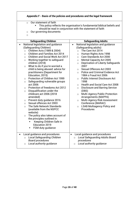| Appendix F - Basis of the policies and procedures and the legal framework                                                                                                                                                                                                                                                                                                                                                                                                                                                                                                                                                                                                                                                                                                                                                                                                                                                                                                               |                                                                                                                                                                                                                                                                                                                                                                                                                                                                                                                                                                                                                                                                                                                                                                                                           |
|-----------------------------------------------------------------------------------------------------------------------------------------------------------------------------------------------------------------------------------------------------------------------------------------------------------------------------------------------------------------------------------------------------------------------------------------------------------------------------------------------------------------------------------------------------------------------------------------------------------------------------------------------------------------------------------------------------------------------------------------------------------------------------------------------------------------------------------------------------------------------------------------------------------------------------------------------------------------------------------------|-----------------------------------------------------------------------------------------------------------------------------------------------------------------------------------------------------------------------------------------------------------------------------------------------------------------------------------------------------------------------------------------------------------------------------------------------------------------------------------------------------------------------------------------------------------------------------------------------------------------------------------------------------------------------------------------------------------------------------------------------------------------------------------------------------------|
| Our statement of faith<br>$\circ$<br>Our governing documents<br>$\circ$<br>O                                                                                                                                                                                                                                                                                                                                                                                                                                                                                                                                                                                                                                                                                                                                                                                                                                                                                                            | This policy reflects the organisation's fundamental biblical beliefs and<br>should be read in conjunction with the statement of faith                                                                                                                                                                                                                                                                                                                                                                                                                                                                                                                                                                                                                                                                     |
| <b>Safeguarding Children</b>                                                                                                                                                                                                                                                                                                                                                                                                                                                                                                                                                                                                                                                                                                                                                                                                                                                                                                                                                            | <b>Safeguarding Adults</b>                                                                                                                                                                                                                                                                                                                                                                                                                                                                                                                                                                                                                                                                                                                                                                                |
| National legislation and guidance<br>(Safeguarding Children)<br>Children Acts (1989 & 2004)<br>$\circ$<br><b>Children and Families Act 2014</b><br>$\circ$<br><b>Children and Social Work Act 2017</b><br>$\circ$<br>Working together to safeguard<br>$\circ$<br>children (2018)<br>What to do if you're worried a<br>$\circ$<br>child is being abused: advice for<br>practitioners (Department for<br>Education, 2015)<br>Protection of Children Act 1999<br>$\circ$<br>Safeguarding vulnerable groups<br>$\circ$<br>act 2006<br>Protection of freedoms Act 2012<br>$\circ$<br>Disqualification under the<br>$\circ$<br>childcare act 2006 (2018<br>amended)<br>Prevent duty guidance 2016<br>$\circ$<br>Sexual offences Act 2003<br>$\circ$<br>The Safe Network Standards<br>$\circ$<br>(available from the NSPCC<br>website)<br>The policy also takes account of<br>$\circ$<br>the principles outlined in:<br>Keeping Children Safe in<br><b>Education 2019</b><br>FGM duty guidance | National legislation and guidance<br>$\bullet$<br>(Safeguarding adults)<br>The Care Act 2014<br>$\Omega$<br>Human Rights Acts 1998<br>$\circ$<br>Care Standards Act 2000<br>$\circ$<br><b>Mental Capacity Act 2005</b><br>$\circ$<br>Deprivation of Liberty Safeguards<br>$\circ$<br>2007<br>Sexual Offences Act 2003<br>$\circ$<br><b>Police and Criminal Evidence Act</b><br>$\circ$<br>1984 o Fraud Act 2006<br><b>Public Interest Disclosure Act</b><br>$\circ$<br>1998<br><b>Health and Social Care Act 2008</b><br>$\circ$<br><b>Disclosure and Barring Service</b><br>$\circ$<br>(DBS)<br><b>Multi-Agency Public Protection</b><br>$\circ$<br>Arrangements (MAPPA)<br>Multi-Agency Risk Assessment<br>$\circ$<br>Conference (MARAC)<br><b>LSAB Multiagency Policy and</b><br>$\circ$<br>Procedures |
| Local guidance and procedures<br><b>Local Safeguarding Children</b><br>$\circ$<br><b>Board procedures</b><br>Local authority guidance<br>$\circ$                                                                                                                                                                                                                                                                                                                                                                                                                                                                                                                                                                                                                                                                                                                                                                                                                                        | Local guidance and procedures<br><b>Local Safeguarding Adults Board</b><br>$\circ$<br>procedures<br>Local authority guidance<br>$\circ$                                                                                                                                                                                                                                                                                                                                                                                                                                                                                                                                                                                                                                                                   |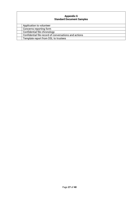| <b>Appendix G</b><br><b>Standard Document Samples</b> |
|-------------------------------------------------------|
| Application to volunteer                              |
| Concerns reporting form                               |
| Confidential file chronology                          |
| Confidential file record of conversations and actions |
| Template report from DSL to trustees                  |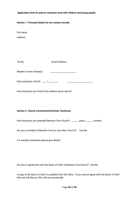**Application form for paid or voluntary work with children and young people** 

**Section 1. Personal Details for our contact records**

Full name

Address

| Tel No:                                                               | Email Address:                                                             |
|-----------------------------------------------------------------------|----------------------------------------------------------------------------|
| Maiden/ former Name(s)                                                |                                                                            |
| Date and place of birth $\frac{1}{2}$ / $\frac{1}{2}$ / $\frac{1}{2}$ |                                                                            |
| How long have you lived at the address given above?                   |                                                                            |
|                                                                       |                                                                            |
| Section 2. Church Involvement/Christian Testimony                     |                                                                            |
|                                                                       | How long have you attended Beeston Free Church? ______ years ______ months |

Are you a member of Beeston Free (or any other church?) Yes/No

If a member elsewhere please give details

Are you in agreement with the Basis of Faith of Beeston Free Church? Yes/No

*A copy of the Basis of Faith is available from the office. If you cannot agree with the Basis of Faith then we will discuss this with you personally*.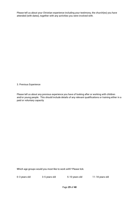Please tell us about your Christian experience including your testimony, the church(es) you have attended (with dates), together with any activities you were involved with.

3. Previous Experience

Please tell us about any previous experience you have of looking after or working with children and/or young people. This should include details of any relevant qualifications or training either in a paid or voluntary capacity

Which age groups would you most like to work with? Please tick.

0-3 years old 3-5 years old 5-10 years old 11-18 years old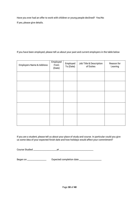Have you ever had an offer to work with children or young people declined? Yes/No If yes, please give details.

#### If you have been employed, please tell us about your past and current employers in the table below

| Employers Name & Address | Employed<br>From<br>(Date) | Employed<br>To (Date) | Job Title & Description<br>of Duties | Reason for<br>Leaving |
|--------------------------|----------------------------|-----------------------|--------------------------------------|-----------------------|
|                          |                            |                       |                                      |                       |
|                          |                            |                       |                                      |                       |
|                          |                            |                       |                                      |                       |
|                          |                            |                       |                                      |                       |
|                          |                            |                       |                                      |                       |

If you are a student, please tell us about your place of study and course. In particular could you give us some idea of your expected finish date and how holidays would affect your commitment?

Course Studied \_\_\_\_\_\_\_\_\_\_\_\_\_\_\_\_\_\_\_\_\_\_at \_\_\_\_\_\_\_\_\_\_\_\_\_\_\_\_\_\_\_\_\_\_\_\_\_\_\_\_\_\_\_\_

Began on \_\_\_\_\_\_\_\_\_\_\_\_\_\_\_\_\_\_ Expected completion date \_\_\_\_\_\_\_\_\_\_\_\_\_\_\_\_\_\_\_\_\_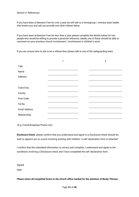If you have been at Beeston Free for over a year we will talk to a homegroup / ministry team leader who knows you and ask you provide one other referee below

If you have been at Beeston Free for less than a year please complete the details below for two people who would be willing to provide a personal reference, ideally one of these should be able to comment on your previous church involvement / involvement in children's work.

If you are unsure who to ask to be a referee then please talk to one of the safeguarding team.

|                      | 1 | $\overline{2}$ |
|----------------------|---|----------------|
| Title                |   |                |
| Name                 |   |                |
| Address              |   |                |
|                      |   |                |
| Town/City            |   |                |
| County               |   |                |
| Post Code            |   |                |
| Tel No               |   |                |
| <b>Email Address</b> |   |                |
| Relationship         |   |                |
|                      |   |                |

(E.g. Friend/Employer/Pastor etc)

**Disclosure Check:** please confirm that you understand and agree to a Disclosure check should we wish to appoint you to a post involving working with children. A self-declaration form is attached.

I confirm that the submitted information is correct and complete, I understand and agree to the conditions involving a Disclosure check and I have completed the self-declaration form.

Signed

Date

*Please return all completed forms to the church office marked for the attention of Becky Thomas.*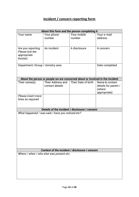## **Incident / concern reporting form**

| About this form and the person completing it   |                                                                                                    |                     |                      |  |  |  |  |
|------------------------------------------------|----------------------------------------------------------------------------------------------------|---------------------|----------------------|--|--|--|--|
| Your name                                      | Your phone                                                                                         | Your mobile         | Your e-mail          |  |  |  |  |
|                                                | number                                                                                             | number              | address              |  |  |  |  |
|                                                |                                                                                                    |                     |                      |  |  |  |  |
| Are you reporting:                             | An incident                                                                                        | A disclosure        | A concern            |  |  |  |  |
| Please tick the                                |                                                                                                    |                     |                      |  |  |  |  |
| appropriate                                    |                                                                                                    |                     |                      |  |  |  |  |
| box(es)                                        |                                                                                                    |                     |                      |  |  |  |  |
|                                                |                                                                                                    |                     |                      |  |  |  |  |
| Department / Group / ministry area             |                                                                                                    |                     | Date completed       |  |  |  |  |
|                                                |                                                                                                    |                     |                      |  |  |  |  |
|                                                |                                                                                                    |                     |                      |  |  |  |  |
|                                                |                                                                                                    |                     |                      |  |  |  |  |
| Their name(s)                                  | About the person or people we are concerned about or involved in the incident<br>Their Address and | Their Date of birth | Name & contact       |  |  |  |  |
|                                                | contact details                                                                                    |                     | details for parent / |  |  |  |  |
|                                                |                                                                                                    |                     | (where               |  |  |  |  |
|                                                |                                                                                                    |                     | appropriate)         |  |  |  |  |
| Please insert more                             |                                                                                                    |                     |                      |  |  |  |  |
| lines as required                              |                                                                                                    |                     |                      |  |  |  |  |
|                                                |                                                                                                    |                     |                      |  |  |  |  |
|                                                |                                                                                                    |                     |                      |  |  |  |  |
|                                                | Details of the incident / disclosure / concern                                                     |                     |                      |  |  |  |  |
|                                                | What happened / was said / have you noticed etc?                                                   |                     |                      |  |  |  |  |
|                                                |                                                                                                    |                     |                      |  |  |  |  |
|                                                |                                                                                                    |                     |                      |  |  |  |  |
|                                                |                                                                                                    |                     |                      |  |  |  |  |
|                                                |                                                                                                    |                     |                      |  |  |  |  |
|                                                |                                                                                                    |                     |                      |  |  |  |  |
|                                                |                                                                                                    |                     |                      |  |  |  |  |
|                                                |                                                                                                    |                     |                      |  |  |  |  |
|                                                |                                                                                                    |                     |                      |  |  |  |  |
|                                                |                                                                                                    |                     |                      |  |  |  |  |
| Context of the incident / disclosure / concern |                                                                                                    |                     |                      |  |  |  |  |
| Where / when / who else was present etc.       |                                                                                                    |                     |                      |  |  |  |  |
|                                                |                                                                                                    |                     |                      |  |  |  |  |
|                                                |                                                                                                    |                     |                      |  |  |  |  |
|                                                |                                                                                                    |                     |                      |  |  |  |  |
|                                                |                                                                                                    |                     |                      |  |  |  |  |
|                                                |                                                                                                    |                     |                      |  |  |  |  |
|                                                |                                                                                                    |                     |                      |  |  |  |  |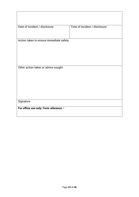| Date of incident / disclosure           | Time of incident / disclosure |
|-----------------------------------------|-------------------------------|
|                                         |                               |
| Action taken to ensure immediate safety |                               |
|                                         |                               |
|                                         |                               |
| Other action taken or advice sought     |                               |
|                                         |                               |
|                                         |                               |
|                                         |                               |
| Signature                               |                               |
| For office use only: Form reference -   |                               |

 $\mathsf{r}$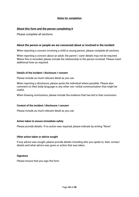#### **Notes for completion**

#### **About this form and the person completing it**

Please complete all sections

#### **About the person or people we are concerned about or involved in the incident**

When reporting a concern involving a child or young person, please complete all sections.

When reporting a concern about an adult, the parent / carer details may not be required. Where this is recorded, please include the relationship to the person involved. Please insert additional lines as required.

#### **Details of the incident / disclosure / concern**

Please include as much relevant detail as you can

When reporting a disclosure, please quote the individual where possible. Please also comment on their body language or any other non-verbal communication that might be useful.

When drawing conclusions, please include the evidence that has led to that conclusion.

#### **Context of the incident / disclosure / concern**

Please include as much relevant detail as you can

#### **Action taken to ensure immediate safety**

Please provide details. If no action was required, please indicate by writing "None".

#### **Other action taken or advice sought**

If any advice was sought, please provide details including who you spoke to, their contact details and what advice was given or action that was taken.

#### **Signature**

Please ensure that you sign the form.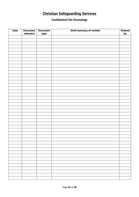# **Christian Safeguarding Services**

## **Confidential File Chronology**

| <b>Date</b> | <b>Document</b><br>reference | <b>Document</b><br>type | <b>Brief summary of content</b> | <b>Entered</b><br>by |
|-------------|------------------------------|-------------------------|---------------------------------|----------------------|
|             |                              |                         |                                 |                      |
|             |                              |                         |                                 |                      |
|             |                              |                         |                                 |                      |
|             |                              |                         |                                 |                      |
|             |                              |                         |                                 |                      |
|             |                              |                         |                                 |                      |
|             |                              |                         |                                 |                      |
|             |                              |                         |                                 |                      |
|             |                              |                         |                                 |                      |
|             |                              |                         |                                 |                      |
|             |                              |                         |                                 |                      |
|             |                              |                         |                                 |                      |
|             |                              |                         |                                 |                      |
|             |                              |                         |                                 |                      |
|             |                              |                         |                                 |                      |
|             |                              |                         |                                 |                      |
|             |                              |                         |                                 |                      |
|             |                              |                         |                                 |                      |
|             |                              |                         |                                 |                      |
|             |                              |                         |                                 |                      |
|             |                              |                         |                                 |                      |
|             |                              |                         |                                 |                      |
|             |                              |                         |                                 |                      |
|             |                              |                         |                                 |                      |
|             |                              |                         |                                 |                      |
|             |                              |                         |                                 |                      |
|             |                              |                         |                                 |                      |
|             |                              |                         |                                 |                      |
|             |                              |                         |                                 |                      |
|             |                              |                         |                                 |                      |
|             |                              |                         |                                 |                      |
|             |                              |                         |                                 |                      |
|             |                              |                         |                                 |                      |
|             |                              |                         |                                 |                      |
|             |                              |                         |                                 |                      |
|             |                              |                         |                                 |                      |
|             |                              |                         |                                 |                      |
|             |                              |                         |                                 |                      |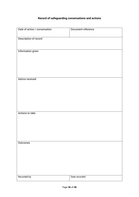## **Record of safeguarding conversations and actions**

| Date of action / conversation | Document reference |
|-------------------------------|--------------------|
|                               |                    |
| Description of record         |                    |
|                               |                    |
| Information given             |                    |
|                               |                    |
|                               |                    |
|                               |                    |
| Advice received               |                    |
|                               |                    |
|                               |                    |
|                               |                    |
|                               |                    |
|                               |                    |
| Actions to take               |                    |
|                               |                    |
|                               |                    |
|                               |                    |
|                               |                    |
| Outcomes                      |                    |
|                               |                    |
|                               |                    |
|                               |                    |
|                               |                    |
|                               |                    |
| Recorded by                   | Date recorded      |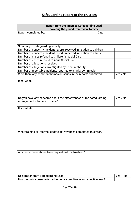| <b>Report from the Trustees Safeguarding Lead</b><br>covering the period from xxxxx to xxxx |          |    |  |  |
|---------------------------------------------------------------------------------------------|----------|----|--|--|
| Report completed by:<br>Date                                                                |          |    |  |  |
|                                                                                             |          |    |  |  |
|                                                                                             |          |    |  |  |
|                                                                                             |          |    |  |  |
| Summary of safeguarding activity                                                            |          |    |  |  |
| Number of concern / incident reports received in relation to children                       |          |    |  |  |
| Number of concern / incident reports received in relation to adults                         |          |    |  |  |
| Number of cases referred to Children's Social Care                                          |          |    |  |  |
| Number of cases referred to Adult Social Care                                               |          |    |  |  |
| Number of allegations received                                                              |          |    |  |  |
| Number of allegations investigated by Local Authority                                       |          |    |  |  |
| Number of reportable incidents reported to charity commission                               |          |    |  |  |
| Were there any common themes or issues in the reports submitted?                            | Yes / No |    |  |  |
|                                                                                             |          |    |  |  |
| If so, what?                                                                                |          |    |  |  |
|                                                                                             |          |    |  |  |
|                                                                                             |          |    |  |  |
|                                                                                             |          |    |  |  |
| Do you have any concerns about the effectiveness of the safeguarding                        | Yes / No |    |  |  |
| arrangements that are in place?                                                             |          |    |  |  |
|                                                                                             |          |    |  |  |
| If so, what?                                                                                |          |    |  |  |
|                                                                                             |          |    |  |  |
|                                                                                             |          |    |  |  |
|                                                                                             |          |    |  |  |
|                                                                                             |          |    |  |  |
|                                                                                             |          |    |  |  |
|                                                                                             |          |    |  |  |
| What training or informal update activity been completed this year?                         |          |    |  |  |
|                                                                                             |          |    |  |  |
|                                                                                             |          |    |  |  |
|                                                                                             |          |    |  |  |
|                                                                                             |          |    |  |  |
| Any recommendations to or requests of the trustees?                                         |          |    |  |  |
|                                                                                             |          |    |  |  |
|                                                                                             |          |    |  |  |
|                                                                                             |          |    |  |  |
|                                                                                             |          |    |  |  |
|                                                                                             |          |    |  |  |
|                                                                                             |          |    |  |  |
| Declaration from Safeguarding Lead                                                          | Yes      | No |  |  |
| Has the policy been reviewed for legal compliance and effectiveness?                        |          |    |  |  |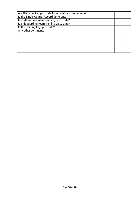| Are DBS checks up to date for all staff and volunteers? |  |
|---------------------------------------------------------|--|
| Is the Single Central Record up to date?                |  |
| Is staff and volunteer training up to date?             |  |
| Is safeguarding team training up to date?               |  |
| Is the training log up to date?                         |  |
| Any other comments                                      |  |
|                                                         |  |
|                                                         |  |
|                                                         |  |
|                                                         |  |
|                                                         |  |
|                                                         |  |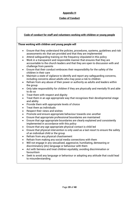#### **Appendix H**

#### **Codes of Conduct**